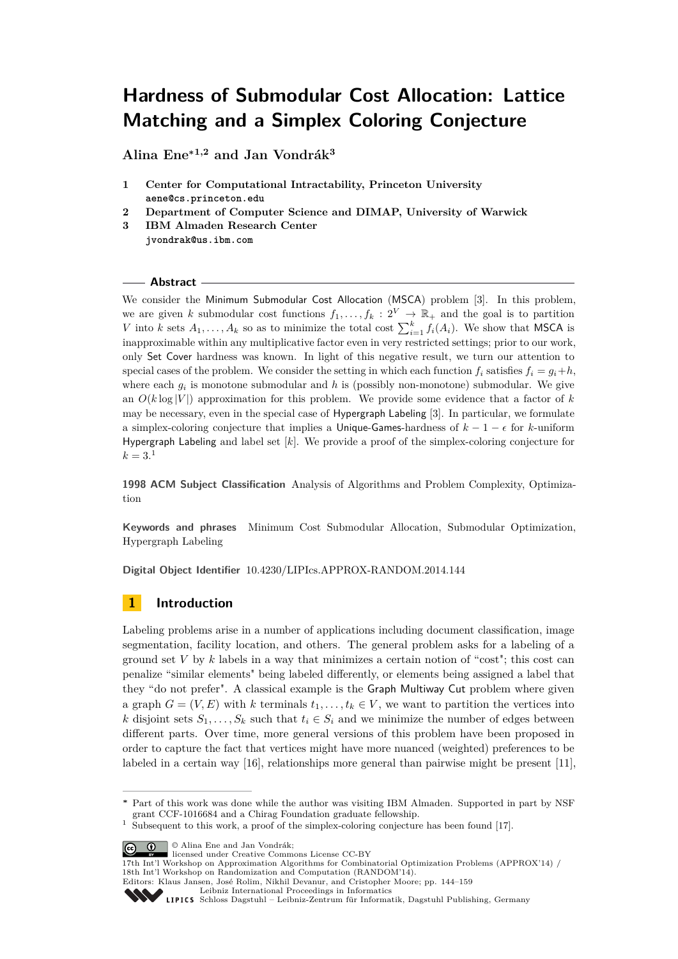# **Hardness of Submodular Cost Allocation: Lattice Matching and a Simplex Coloring Conjecture**

**Alina Ene<sup>∗</sup>1,2 and Jan Vondrák<sup>3</sup>**

- **1 Center for Computational Intractability, Princeton University aene@cs.princeton.edu**
- **2 Department of Computer Science and DIMAP, University of Warwick**
- **3 IBM Almaden Research Center jvondrak@us.ibm.com**

## **Abstract**

We consider the Minimum Submodular Cost Allocation (MSCA) problem [\[3\]](#page-12-0). In this problem, we are given *k* submodular cost functions  $f_1, \ldots, f_k : 2^V \to \mathbb{R}_+$  and the goal is to partition *V* into *k* sets  $A_1, \ldots, A_k$  so as to minimize the total cost  $\sum_{i=1}^k f_i(A_i)$ . We show that MSCA is inapproximable within any multiplicative factor even in very restricted settings; prior to our work, only Set Cover hardness was known. In light of this negative result, we turn our attention to special cases of the problem. We consider the setting in which each function  $f_i$  satisfies  $f_i = g_i + h$ . where each  $g_i$  is monotone submodular and h is (possibly non-monotone) submodular. We give an  $O(k \log |V|)$  approximation for this problem. We provide some evidence that a factor of k may be necessary, even in the special case of Hypergraph Labeling [\[3\]](#page-12-0). In particular, we formulate a simplex-coloring conjecture that implies a Unique-Games-hardness of  $k - 1 - \epsilon$  for *k*-uniform Hypergraph Labeling and label set [*k*]. We provide a proof of the simplex-coloring conjecture for  $k = 3.1$  $k = 3.1$ 

**1998 ACM Subject Classification** Analysis of Algorithms and Problem Complexity, Optimization

**Keywords and phrases** Minimum Cost Submodular Allocation, Submodular Optimization, Hypergraph Labeling

**Digital Object Identifier** [10.4230/LIPIcs.APPROX-RANDOM.2014.144](http://dx.doi.org/10.4230/LIPIcs.APPROX-RANDOM.2014.144)

# <span id="page-0-1"></span>**1 Introduction**

Labeling problems arise in a number of applications including document classification, image segmentation, facility location, and others. The general problem asks for a labeling of a ground set  $V$  by  $k$  labels in a way that minimizes a certain notion of "cost"; this cost can penalize "similar elements" being labeled differently, or elements being assigned a label that they "do not prefer". A classical example is the Graph Multiway Cut problem where given a graph  $G = (V, E)$  with *k* terminals  $t_1, \ldots, t_k \in V$ , we want to partition the vertices into *k* disjoint sets  $S_1, \ldots, S_k$  such that  $t_i \in S_i$  and we minimize the number of edges between different parts. Over time, more general versions of this problem have been proposed in order to capture the fact that vertices might have more nuanced (weighted) preferences to be labeled in a certain way [\[16\]](#page-13-0), relationships more general than pairwise might be present [\[11\]](#page-12-1),

© Alina Ene and Jan Vondrák; licensed under Creative Commons License CC-BY

**<sup>∗</sup>** Part of this work was done while the author was visiting IBM Almaden. Supported in part by NSF grant CCF-1016684 and a Chirag Foundation graduate fellowship.

<span id="page-0-0"></span>Subsequent to this work, a proof of the simplex-coloring conjecture has been found [\[17\]](#page-13-1).

<sup>17</sup>th Int'l Workshop on Approximation Algorithms for Combinatorial Optimization Problems (APPROX'14) / 18th Int'l Workshop on Randomization and Computation (RANDOM'14).

Editors: Klaus Jansen, José Rolim, Nikhil Devanur, and Cristopher Moore; pp. 144[–159](#page-15-0)

[Leibniz International Proceedings in Informatics](http://www.dagstuhl.de/lipics/)

[Schloss Dagstuhl – Leibniz-Zentrum für Informatik, Dagstuhl Publishing, Germany](http://www.dagstuhl.de)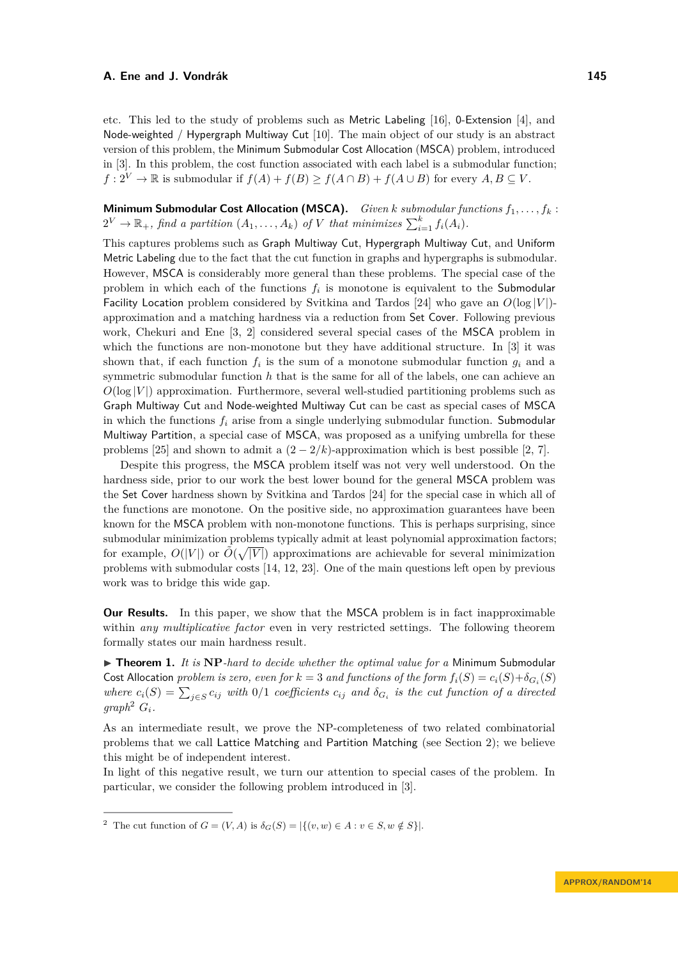etc. This led to the study of problems such as Metric Labeling [\[16\]](#page-13-0), 0-Extension [\[4\]](#page-12-2), and Node-weighted / Hypergraph Multiway Cut [\[10\]](#page-12-3). The main object of our study is an abstract version of this problem, the Minimum Submodular Cost Allocation (MSCA) problem, introduced in [\[3\]](#page-12-0). In this problem, the cost function associated with each label is a submodular function;  $f: 2^V \to \mathbb{R}$  is submodular if  $f(A) + f(B) \ge f(A \cap B) + f(A \cup B)$  for every  $A, B \subseteq V$ .

**Minimum Submodular Cost Allocation (MSCA).** *Given k submodular functions f*1*, . . . , f<sup>k</sup>* :  $2^V \rightarrow \mathbb{R}_+$ , find a partition  $(A_1, \ldots, A_k)$  of *V* that minimizes  $\sum_{i=1}^k f_i(A_i)$ .

This captures problems such as Graph Multiway Cut, Hypergraph Multiway Cut, and Uniform Metric Labeling due to the fact that the cut function in graphs and hypergraphs is submodular. However, MSCA is considerably more general than these problems. The special case of the problem in which each of the functions *f<sup>i</sup>* is monotone is equivalent to the Submodular Facility Location problem considered by Svitkina and Tardos [\[24\]](#page-13-2) who gave an  $O(\log |V|)$ approximation and a matching hardness via a reduction from Set Cover. Following previous work, Chekuri and Ene [\[3,](#page-12-0) [2\]](#page-12-4) considered several special cases of the MSCA problem in which the functions are non-monotone but they have additional structure. In [\[3\]](#page-12-0) it was shown that, if each function  $f_i$  is the sum of a monotone submodular function  $g_i$  and a symmetric submodular function *h* that is the same for all of the labels, one can achieve an  $O(\log |V|)$  approximation. Furthermore, several well-studied partitioning problems such as Graph Multiway Cut and Node-weighted Multiway Cut can be cast as special cases of MSCA in which the functions  $f_i$  arise from a single underlying submodular function. Submodular Multiway Partition, a special case of MSCA, was proposed as a unifying umbrella for these problems [\[25\]](#page-13-3) and shown to admit a  $(2-2/k)$ -approximation which is best possible [\[2,](#page-12-4) [7\]](#page-12-5).

Despite this progress, the MSCA problem itself was not very well understood. On the hardness side, prior to our work the best lower bound for the general MSCA problem was the Set Cover hardness shown by Svitkina and Tardos [\[24\]](#page-13-2) for the special case in which all of the functions are monotone. On the positive side, no approximation guarantees have been known for the MSCA problem with non-monotone functions. This is perhaps surprising, since submodular minimization problems typically admit at least polynomial approximation factors; for example,  $O(|V|)$  or  $\tilde{O}(\sqrt{|V|})$  approximations are achievable for several minimization problems with submodular costs [\[14,](#page-12-6) [12,](#page-12-7) [23\]](#page-13-4). One of the main questions left open by previous work was to bridge this wide gap.

**Our Results.** In this paper, we show that the MSCA problem is in fact inapproximable within *any multiplicative factor* even in very restricted settings. The following theorem formally states our main hardness result.

▶ **Theorem 1.** *It is* NP-*hard to decide whether the optimal value for a Minimum Submodular* Cost Allocation *problem is zero, even for*  $k = 3$  *and functions of the form*  $f_i(S) = c_i(S) + \delta_{G_i}(S)$ *where*  $c_i(S) = \sum_{j \in S} c_{ij}$  *with* 0*/*1 *coefficients*  $c_{ij}$  *and*  $\delta_{G_i}$  *is the cut function of a directed*  $graph^2$  $graph^2$   $G_i$ .

As an intermediate result, we prove the NP-completeness of two related combinatorial problems that we call Lattice Matching and Partition Matching (see Section [2\)](#page-3-0); we believe this might be of independent interest.

In light of this negative result, we turn our attention to special cases of the problem. In particular, we consider the following problem introduced in [\[3\]](#page-12-0).

<span id="page-1-0"></span><sup>&</sup>lt;sup>2</sup> The cut function of  $G = (V, A)$  is  $\delta_G(S) = |\{(v, w) \in A : v \in S, w \notin S\}|$ .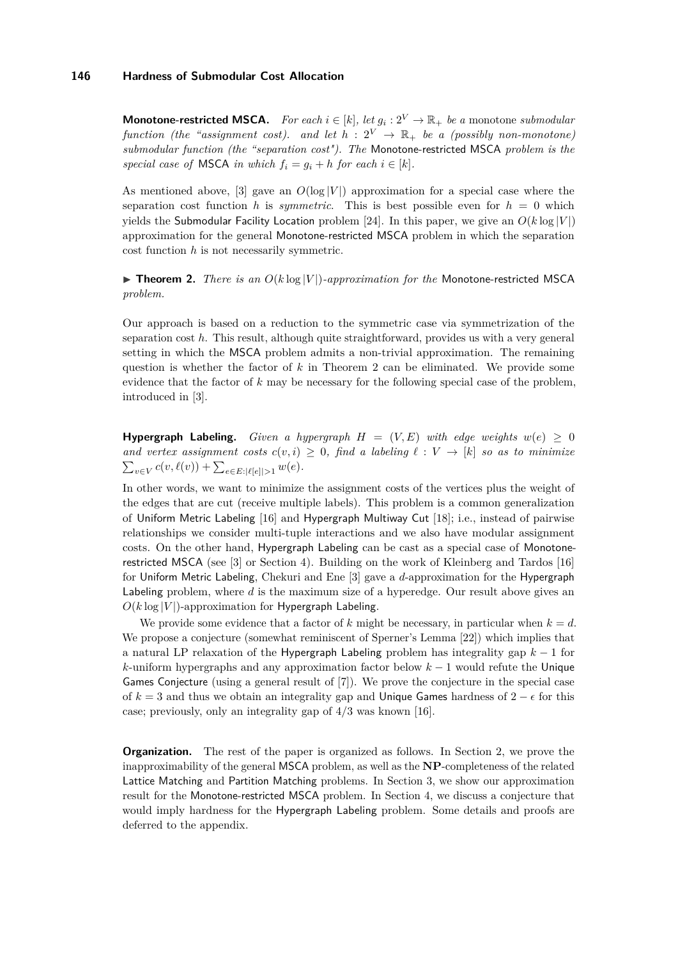**Monotone-restricted MSCA.** For each  $i \in [k]$ , let  $g_i : 2^V \to \mathbb{R}_+$  be a monotone *submodular function (the "assignment cost). and let*  $h : 2^V \rightarrow \mathbb{R}_+$  *be a (possibly non-monotone) submodular function (the "separation cost"). The* Monotone-restricted MSCA *problem is the special case of* **MSCA** *in which*  $f_i = g_i + h$  *for each*  $i \in [k]$ *.* 

As mentioned above, [\[3\]](#page-12-0) gave an  $O(\log |V|)$  approximation for a special case where the separation cost function *h* is *symmetric*. This is best possible even for  $h = 0$  which yields the Submodular Facility Location problem [\[24\]](#page-13-2). In this paper, we give an  $O(k \log |V|)$ approximation for the general Monotone-restricted MSCA problem in which the separation cost function *h* is not necessarily symmetric.

## <span id="page-2-0"></span> $\triangleright$  **Theorem 2.** *There is an O(klog |V|)-approximation for the Monotone-restricted MSCA problem.*

Our approach is based on a reduction to the symmetric case via symmetrization of the separation cost *h*. This result, although quite straightforward, provides us with a very general setting in which the MSCA problem admits a non-trivial approximation. The remaining question is whether the factor of *k* in Theorem [2](#page-2-0) can be eliminated. We provide some evidence that the factor of *k* may be necessary for the following special case of the problem, introduced in [\[3\]](#page-12-0).

**Hypergraph Labeling.** *Given a hypergraph*  $H = (V, E)$  *with edge weights*  $w(e) \ge 0$ *and vertex assignment costs*  $c(v, i) \geq 0$ , find a labeling  $\ell : V \to [k]$  so as to minimize  $\sum_{v \in V} c(v, \ell(v)) + \sum_{e \in E: |\ell[e]| > 1} w(e).$ 

In other words, we want to minimize the assignment costs of the vertices plus the weight of the edges that are cut (receive multiple labels). This problem is a common generalization of Uniform Metric Labeling [\[16\]](#page-13-0) and Hypergraph Multiway Cut [\[18\]](#page-13-5); i.e., instead of pairwise relationships we consider multi-tuple interactions and we also have modular assignment costs. On the other hand, Hypergraph Labeling can be cast as a special case of Monotonerestricted MSCA (see [\[3\]](#page-12-0) or Section [4\)](#page-7-0). Building on the work of Kleinberg and Tardos [\[16\]](#page-13-0) for Uniform Metric Labeling, Chekuri and Ene [\[3\]](#page-12-0) gave a *d*-approximation for the Hypergraph Labeling problem, where *d* is the maximum size of a hyperedge. Our result above gives an  $O(k \log |V|)$ -approximation for Hypergraph Labeling.

We provide some evidence that a factor of k might be necessary, in particular when  $k = d$ . We propose a conjecture (somewhat reminiscent of Sperner's Lemma [\[22\]](#page-13-6)) which implies that a natural LP relaxation of the Hypergraph Labeling problem has integrality gap *k* − 1 for *k*-uniform hypergraphs and any approximation factor below *k* − 1 would refute the Unique Games Conjecture (using a general result of [\[7\]](#page-12-5)). We prove the conjecture in the special case of  $k = 3$  and thus we obtain an integrality gap and Unique Games hardness of  $2 - \epsilon$  for this case; previously, only an integrality gap of 4*/*3 was known [\[16\]](#page-13-0).

**Organization.** The rest of the paper is organized as follows. In Section [2,](#page-3-0) we prove the inapproximability of the general MSCA problem, as well as the **NP**-completeness of the related Lattice Matching and Partition Matching problems. In Section [3,](#page-6-0) we show our approximation result for the Monotone-restricted MSCA problem. In Section [4,](#page-7-0) we discuss a conjecture that would imply hardness for the Hypergraph Labeling problem. Some details and proofs are deferred to the appendix.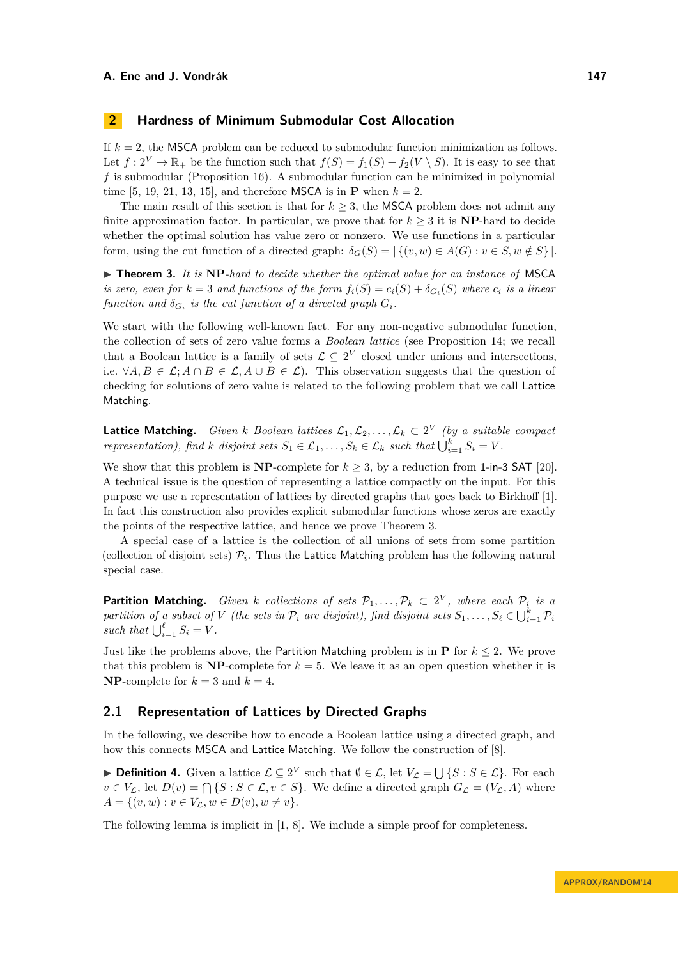## <span id="page-3-0"></span>**2 Hardness of Minimum Submodular Cost Allocation**

If  $k = 2$ , the MSCA problem can be reduced to submodular function minimization as follows. Let  $f: 2^V \to \mathbb{R}_+$  be the function such that  $f(S) = f_1(S) + f_2(V \setminus S)$ . It is easy to see that *f* is submodular (Proposition [16\)](#page-13-7). A submodular function can be minimized in polynomial time [\[5,](#page-12-8) [19,](#page-13-8) [21,](#page-13-9) [13,](#page-12-9) [15\]](#page-13-10), and therefore MSCA is in **P** when  $k = 2$ .

The main result of this section is that for  $k \geq 3$ , the MSCA problem does not admit any finite approximation factor. In particular, we prove that for  $k \geq 3$  it is **NP**-hard to decide whether the optimal solution has value zero or nonzero. We use functions in a particular form, using the cut function of a directed graph:  $\delta_G(S) = |\{(v, w) \in A(G) : v \in S, w \notin S\}|$ .

<span id="page-3-1"></span>▶ **Theorem 3.** It is NP-hard to decide whether the optimal value for an instance of MSCA *is zero, even for*  $k = 3$  *and functions of the form*  $f_i(S) = c_i(S) + \delta_{G_i}(S)$  *where*  $c_i$  *is a linear function and*  $\delta_{G_i}$  *is the cut function of a directed graph*  $G_i$ *.* 

We start with the following well-known fact. For any non-negative submodular function, the collection of sets of zero value forms a *Boolean lattice* (see Proposition [14;](#page-13-11) we recall that a Boolean lattice is a family of sets  $\mathcal{L} \subseteq 2^V$  closed under unions and intersections, i.e.  $\forall A, B \in \mathcal{L}; A \cap B \in \mathcal{L}, A \cup B \in \mathcal{L}$ . This observation suggests that the question of checking for solutions of zero value is related to the following problem that we call Lattice Matching.

**Lattice Matching.** *Given k Boolean lattices*  $\mathcal{L}_1, \mathcal{L}_2, \ldots, \mathcal{L}_k \subset 2^V$  *(by a suitable compact representation), find k disjoint sets*  $S_1 \in \mathcal{L}_1, \ldots, S_k \in \mathcal{L}_k$  *such that*  $\bigcup_{i=1}^k S_i = V$ .

We show that this problem is **NP**-complete for  $k \geq 3$ , by a reduction from 1-in-3 SAT [\[20\]](#page-13-12). A technical issue is the question of representing a lattice compactly on the input. For this purpose we use a representation of lattices by directed graphs that goes back to Birkhoff [\[1\]](#page-12-10). In fact this construction also provides explicit submodular functions whose zeros are exactly the points of the respective lattice, and hence we prove Theorem [3.](#page-3-1)

A special case of a lattice is the collection of all unions of sets from some partition (collection of disjoint sets)  $\mathcal{P}_i$ . Thus the Lattice Matching problem has the following natural special case.

**Partition Matching.** *Given k collections of sets*  $\mathcal{P}_1, \ldots, \mathcal{P}_k \subset 2^V$ *, where each*  $\mathcal{P}_i$  *is a partition of a subset of V (the sets in*  $\mathcal{P}_i$  *are disjoint), find disjoint sets*  $S_1, \ldots, S_\ell \in \bigcup_{i=1}^k \mathcal{P}_i$ *such that*  $\bigcup_{i=1}^{\ell} S_i = V$ .

Just like the problems above, the Partition Matching problem is in **P** for  $k \leq 2$ . We prove that this problem is  $NP$ -complete for  $k = 5$ . We leave it as an open question whether it is **NP**-complete for  $k = 3$  and  $k = 4$ .

## **2.1 Representation of Lattices by Directed Graphs**

In the following, we describe how to encode a Boolean lattice using a directed graph, and how this connects MSCA and Lattice Matching. We follow the construction of [\[8\]](#page-12-11).

**► Definition 4.** Given a lattice  $\mathcal{L} \subseteq 2^V$  such that  $\emptyset \in \mathcal{L}$ , let  $V_{\mathcal{L}} = \bigcup \{ S : S \in \mathcal{L} \}$ . For each  $v \in V_L$ , let  $D(v) = \bigcap \{S : S \in \mathcal{L}, v \in S\}$ . We define a directed graph  $G_{\mathcal{L}} = (V_L, A)$  where  $A = \{(v, w) : v \in V_{\mathcal{L}}, w \in D(v), w \neq v\}.$ 

The following lemma is implicit in [\[1,](#page-12-10) [8\]](#page-12-11). We include a simple proof for completeness.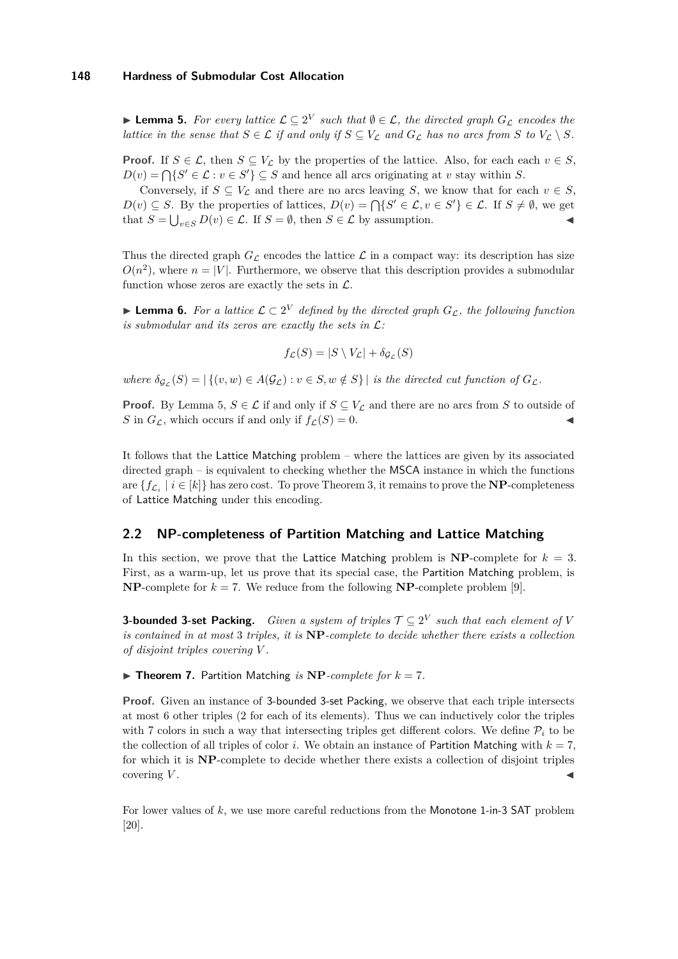<span id="page-4-0"></span>**If Lemma 5.** For every lattice  $\mathcal{L} \subseteq 2^V$  such that  $\emptyset \in \mathcal{L}$ , the directed graph  $G_{\mathcal{L}}$  encodes the *lattice in the sense that*  $S \in \mathcal{L}$  *if and only if*  $S \subseteq V_{\mathcal{L}}$  *and*  $G_{\mathcal{L}}$  *has no arcs from*  $S$  *to*  $V_{\mathcal{L}} \setminus S$ *.* 

**Proof.** If  $S \in \mathcal{L}$ , then  $S \subseteq V_{\mathcal{L}}$  by the properties of the lattice. Also, for each each  $v \in S$ ,  $D(v) = \bigcap \{ S' \in \mathcal{L} : v \in S' \} \subseteq S$  and hence all arcs originating at *v* stay within *S*.

Conversely, if  $S \subseteq V_L$  and there are no arcs leaving *S*, we know that for each  $v \in S$ , *D*(*v*) ⊆ *S*. By the properties of lattices, *D*(*v*) =  $\bigcap \{S' \in \mathcal{L}, v \in S'\} \in \mathcal{L}$ . If  $S \neq \emptyset$ , we get that  $S = \bigcup_{v \in S} D(v) \in \mathcal{L}$ . If  $S = \emptyset$ , then  $S \in \mathcal{L}$  by assumption.

Thus the directed graph  $G_{\mathcal{L}}$  encodes the lattice  $\mathcal{L}$  in a compact way: its description has size  $O(n^2)$ , where  $n = |V|$ . Furthermore, we observe that this description provides a submodular function whose zeros are exactly the sets in  $\mathcal{L}$ .

**► Lemma 6.** For a lattice  $\mathcal{L} \subset 2^V$  defined by the directed graph  $G_{\mathcal{L}}$ , the following function *is submodular and its zeros are exactly the sets in* L*:*

$$
f_{\mathcal{L}}(S) = |S \setminus V_{\mathcal{L}}| + \delta_{\mathcal{G}_{\mathcal{L}}}(S)
$$

 $where \delta_{\mathcal{G}_{\mathcal{L}}}(S) = |\{(v, w) \in A(\mathcal{G}_{\mathcal{L}}) : v \in S, w \notin S\}|$  *is the directed cut function of*  $G_{\mathcal{L}}$ .

**Proof.** By Lemma [5,](#page-4-0)  $S \in \mathcal{L}$  if and only if  $S \subseteq V_{\mathcal{L}}$  and there are no arcs from *S* to outside of *S* in  $G_{\mathcal{L}}$ , which occurs if and only if  $f_{\mathcal{L}}(S) = 0$ .

It follows that the Lattice Matching problem – where the lattices are given by its associated directed graph – is equivalent to checking whether the MSCA instance in which the functions are  $\{f_{\mathcal{L}_i} \mid i \in [k]\}$  has zero cost. To prove Theorem [3,](#page-3-1) it remains to prove the **NP**-completeness of Lattice Matching under this encoding.

## **2.2 NP-completeness of Partition Matching and Lattice Matching**

In this section, we prove that the Lattice Matching problem is  $NP$ -complete for  $k = 3$ . First, as a warm-up, let us prove that its special case, the Partition Matching problem, is **NP**-complete for  $k = 7$ . We reduce from the following **NP**-complete problem [\[9\]](#page-12-12).

**3-bounded 3-set Packing.** *Given a system of triples*  $\mathcal{T} \subseteq 2^V$  *such that each element of V is contained in at most* 3 *triples, it is* **NP***-complete to decide whether there exists a collection of disjoint triples covering V .*

 $\triangleright$  **Theorem 7.** Partition Matching *is* **NP**-complete for  $k = 7$ .

**Proof.** Given an instance of 3-bounded 3-set Packing, we observe that each triple intersects at most 6 other triples (2 for each of its elements). Thus we can inductively color the triples with 7 colors in such a way that intersecting triples get different colors. We define  $P_i$  to be the collection of all triples of color *i*. We obtain an instance of Partition Matching with  $k = 7$ , for which it is **NP**-complete to decide whether there exists a collection of disjoint triples covering V.

For lower values of *k*, we use more careful reductions from the Monotone 1-in-3 SAT problem [\[20\]](#page-13-12).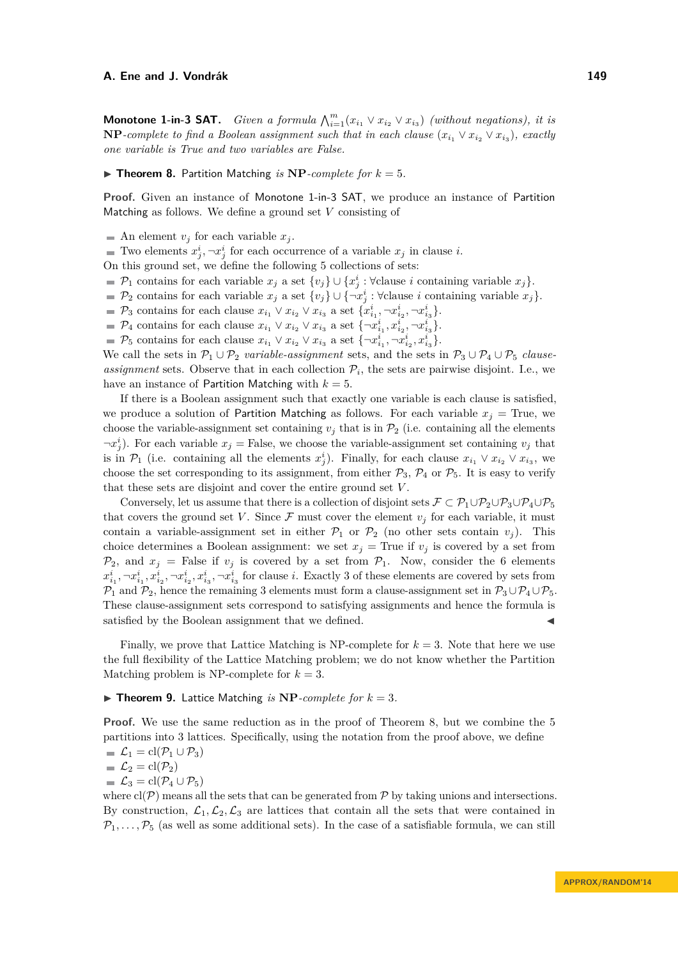**Monotone 1-in-3 SAT.** *Given a formula*  $\bigwedge_{i=1}^{m} (x_{i_1} \vee x_{i_2} \vee x_{i_3})$  *(without negations), it is*  $NP$ *-complete to find a Boolean assignment such that in each clause*  $(x_{i_1} \vee x_{i_2} \vee x_{i_3})$ *, exactly one variable is True and two variables are False.*

#### <span id="page-5-0"></span> $\triangleright$  **Theorem 8.** Partition Matching *is* **NP***-complete for*  $k = 5$ *.*

**Proof.** Given an instance of Monotone 1-in-3 SAT, we produce an instance of Partition Matching as follows. We define a ground set *V* consisting of

 $\blacksquare$  An element  $v_j$  for each variable  $x_j$ .

Two elements  $x_j^i, \neg x_j^i$  for each occurrence of a variable  $x_j$  in clause *i*.

On this ground set, we define the following 5 collections of sets:

- $\mathcal{P}_1$  contains for each variable  $x_j$  a set  $\{v_j\} \cup \{x_j^i : \forall \text{clause } i \text{ containing variable } x_j\}.$
- $\mathcal{P}_2$  contains for each variable  $x_j$  a set  $\{v_j\} \cup \{\neg x_j^i : \forall \text{clause } i \text{ containing variable } x_j\}.$
- $\mathcal{P}_3$  contains for each clause  $x_{i_1} \vee x_{i_2} \vee x_{i_3}$  a set  $\{x_{i_1}^i, \neg x_{i_2}^i, \neg x_{i_3}^i\}.$
- $\mathcal{P}_4$  contains for each clause  $x_{i_1} \vee x_{i_2} \vee x_{i_3}$  a set  $\{\neg x_{i_1}^i, x_{i_2}^i, \neg x_{i_3}^i\}$ .
- $\mathcal{P}_5$  contains for each clause  $x_{i_1} \vee x_{i_2} \vee x_{i_3}$  a set  $\{\neg x_{i_1}^i, \neg x_{i_2}^i, x_{i_3}^i\}$ .

We call the sets in  $\mathcal{P}_1 \cup \mathcal{P}_2$  *variable-assignment* sets, and the sets in  $\mathcal{P}_3 \cup \mathcal{P}_4 \cup \mathcal{P}_5$  *clauseassignment* sets. Observe that in each collection  $P_i$ , the sets are pairwise disjoint. I.e., we have an instance of Partition Matching with  $k = 5$ .

If there is a Boolean assignment such that exactly one variable is each clause is satisfied, we produce a solution of Partition Matching as follows. For each variable  $x_j$  = True, we choose the variable-assignment set containing  $v_j$  that is in  $\mathcal{P}_2$  (i.e. containing all the elements  $\neg x_j^i$ ). For each variable  $x_j$  = False, we choose the variable-assignment set containing  $v_j$  that is in  $\mathcal{P}_1$  (i.e. containing all the elements  $x_j^i$ ). Finally, for each clause  $x_{i_1} \vee x_{i_2} \vee x_{i_3}$ , we choose the set corresponding to its assignment, from either  $\mathcal{P}_3$ ,  $\mathcal{P}_4$  or  $\mathcal{P}_5$ . It is easy to verify that these sets are disjoint and cover the entire ground set *V* .

Conversely, let us assume that there is a collection of disjoint sets  $\mathcal{F} \subset \mathcal{P}_1 \cup \mathcal{P}_2 \cup \mathcal{P}_3 \cup \mathcal{P}_4 \cup \mathcal{P}_5$ that covers the ground set *V*. Since  $\mathcal F$  must cover the element  $v_j$  for each variable, it must contain a variable-assignment set in either  $P_1$  or  $P_2$  (no other sets contain  $v_j$ ). This choice determines a Boolean assignment: we set  $x_j$  = True if  $v_j$  is covered by a set from  $\mathcal{P}_2$ , and  $x_j$  = False if  $v_j$  is covered by a set from  $\mathcal{P}_1$ . Now, consider the 6 elements  $x_{i_1}^i, \neg x_{i_1}^i, x_{i_2}^i, \neg x_{i_2}^i, x_{i_3}^i, \neg x_{i_3}^i$  for clause i. Exactly 3 of these elements are covered by sets from  $\mathcal{P}_1$  and  $\mathcal{P}_2$ , hence the remaining 3 elements must form a clause-assignment set in  $\mathcal{P}_3 \cup \mathcal{P}_4 \cup \mathcal{P}_5$ . These clause-assignment sets correspond to satisfying assignments and hence the formula is satisfied by the Boolean assignment that we defined.

Finally, we prove that Lattice Matching is NP-complete for  $k = 3$ . Note that here we use the full flexibility of the Lattice Matching problem; we do not know whether the Partition Matching problem is NP-complete for  $k = 3$ .

### $\triangleright$  **Theorem 9.** Lattice Matching *is* **NP***-complete for*  $k = 3$ *.*

**Proof.** We use the same reduction as in the proof of Theorem [8,](#page-5-0) but we combine the 5 partitions into 3 lattices. Specifically, using the notation from the proof above, we define

$$
\blacksquare \mathcal{L}_1 = \mathrm{cl}(\mathcal{P}_1 \cup \mathcal{P}_3)
$$

$$
\blacksquare \mathcal{L}_2 = \mathrm{cl}(\mathcal{P}_2)
$$

 $\mathcal{L}_3 = \mathrm{cl}(\mathcal{P}_4 \cup \mathcal{P}_5)$ 

where  $\text{cl}(\mathcal{P})$  means all the sets that can be generated from  $\mathcal P$  by taking unions and intersections. By construction,  $\mathcal{L}_1, \mathcal{L}_2, \mathcal{L}_3$  are lattices that contain all the sets that were contained in  $P_1, \ldots, P_5$  (as well as some additional sets). In the case of a satisfiable formula, we can still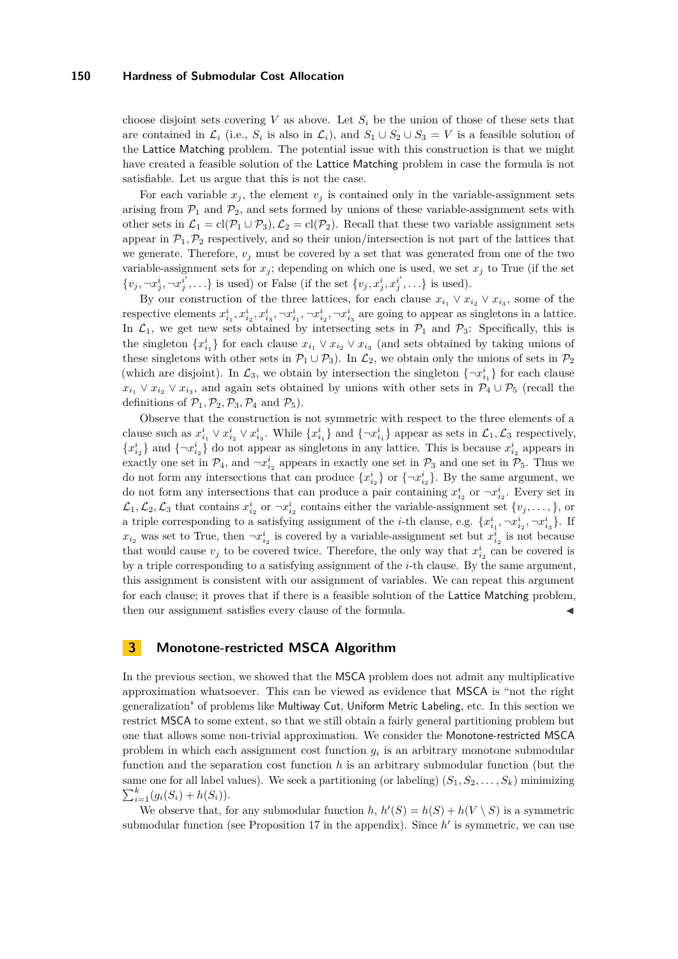#### **150 Hardness of Submodular Cost Allocation**

choose disjoint sets covering *V* as above. Let  $S_i$  be the union of those of these sets that are contained in  $\mathcal{L}_i$  (i.e.,  $S_i$  is also in  $\mathcal{L}_i$ ), and  $S_1 \cup S_2 \cup S_3 = V$  is a feasible solution of the Lattice Matching problem. The potential issue with this construction is that we might have created a feasible solution of the Lattice Matching problem in case the formula is not satisfiable. Let us argue that this is not the case.

For each variable  $x_j$ , the element  $v_j$  is contained only in the variable-assignment sets arising from  $P_1$  and  $P_2$ , and sets formed by unions of these variable-assignment sets with other sets in  $\mathcal{L}_1 = \text{cl}(\mathcal{P}_1 \cup \mathcal{P}_3), \mathcal{L}_2 = \text{cl}(\mathcal{P}_2)$ . Recall that these two variable assignment sets appear in  $\mathcal{P}_1, \mathcal{P}_2$  respectively, and so their union/intersection is not part of the lattices that we generate. Therefore,  $v_j$  must be covered by a set that was generated from one of the two variable-assignment sets for  $x_j$ ; depending on which one is used, we set  $x_j$  to True (if the set  $\{v_j, \neg x_j^i, \neg x_j^{i'}, \ldots\}$  is used) or False (if the set  $\{v_j, x_j^i, x_j^{i'}, \ldots\}$  is used).

By our construction of the three lattices, for each clause  $x_{i_1} \vee x_{i_2} \vee x_{i_3}$ , some of the respective elements  $x_{i_1}^i, x_{i_2}^i, x_{i_3}^i, \neg x_{i_1}^i, \neg x_{i_2}^i, \neg x_{i_3}^i$  are going to appear as singletons in a lattice. In  $\mathcal{L}_1$ , we get new sets obtained by intersecting sets in  $\mathcal{P}_1$  and  $\mathcal{P}_3$ : Specifically, this is the singleton  $\{x_{i_1}^i\}$  for each clause  $x_{i_1} \vee x_{i_2} \vee x_{i_3}$  (and sets obtained by taking unions of these singletons with other sets in  $\mathcal{P}_1 \cup \mathcal{P}_3$ . In  $\mathcal{L}_2$ , we obtain only the unions of sets in  $\mathcal{P}_2$ (which are disjoint). In  $\mathcal{L}_3$ , we obtain by intersection the singleton  $\{\neg x_{i_1}^i\}$  for each clause  $x_{i_1} \vee x_{i_2} \vee x_{i_3}$ , and again sets obtained by unions with other sets in  $\mathcal{P}_4 \cup \mathcal{P}_5$  (recall the definitions of  $\mathcal{P}_1, \mathcal{P}_2, \mathcal{P}_3, \mathcal{P}_4$  and  $\mathcal{P}_5$ ).

Observe that the construction is not symmetric with respect to the three elements of a clause such as  $x_{i_1}^i \vee x_{i_2}^i \vee x_{i_3}^i$ . While  $\{x_{i_1}^i\}$  and  $\{\neg x_{i_1}^i\}$  appear as sets in  $\mathcal{L}_1, \mathcal{L}_3$  respectively,  ${x_{i_2}^i}$  and  ${\lbrace \neg x_{i_2}^i \rbrace}$  do not appear as singletons in any lattice. This is because  $x_{i_2}^i$  appears in exactly one set in  $\mathcal{P}_4$ , and  $\neg x_{i_2}^i$  appears in exactly one set in  $\mathcal{P}_3$  and one set in  $\mathcal{P}_5$ . Thus we do not form any intersections that can produce  $\{x_{i_2}^i\}$  or  $\{\neg x_{i_2}^i\}$ . By the same argument, we do not form any intersections that can produce a pair containing  $x_{i_2}^i$  or  $\neg x_{i_2}^i$ . Every set in  $\mathcal{L}_1, \mathcal{L}_2, \mathcal{L}_3$  that contains  $x_{i_2}^i$  or  $\neg x_{i_2}^i$  contains either the variable-assignment set  $\{v_j, \ldots, \}$ , or a triple corresponding to a satisfying assignment of the *i*-th clause, e.g.  $\{x_{i_1}^i, \neg x_{i_2}^i, \neg x_{i_3}^i\}$ . If  $x_{i_2}$  was set to True, then  $\neg x_{i_2}^i$  is covered by a variable-assignment set but  $x_{i_2}^i$  is not because that would cause  $v_j$  to be covered twice. Therefore, the only way that  $x_{i_2}^i$  can be covered is by a triple corresponding to a satisfying assignment of the *i*-th clause. By the same argument, this assignment is consistent with our assignment of variables. We can repeat this argument for each clause; it proves that if there is a feasible solution of the Lattice Matching problem, then our assignment satisfies every clause of the formula.

## <span id="page-6-0"></span>**3 Monotone-restricted MSCA Algorithm**

In the previous section, we showed that the MSCA problem does not admit any multiplicative approximation whatsoever. This can be viewed as evidence that MSCA is "not the right generalization" of problems like Multiway Cut, Uniform Metric Labeling, etc. In this section we restrict MSCA to some extent, so that we still obtain a fairly general partitioning problem but one that allows some non-trivial approximation. We consider the Monotone-restricted MSCA problem in which each assignment cost function  $g_i$  is an arbitrary monotone submodular function and the separation cost function *h* is an arbitrary submodular function (but the same one for all label values). We seek a partitioning (or labeling)  $(S_1, S_2, \ldots, S_k)$  minimizing  $\sum_{i=1}^{k} (g_i(S_i) + h(S_i)).$ 

We observe that, for any submodular function *h*,  $h'(S) = h(S) + h(V \setminus S)$  is a symmetric submodular function (see Proposition [17](#page-14-0) in the appendix). Since  $h'$  is symmetric, we can use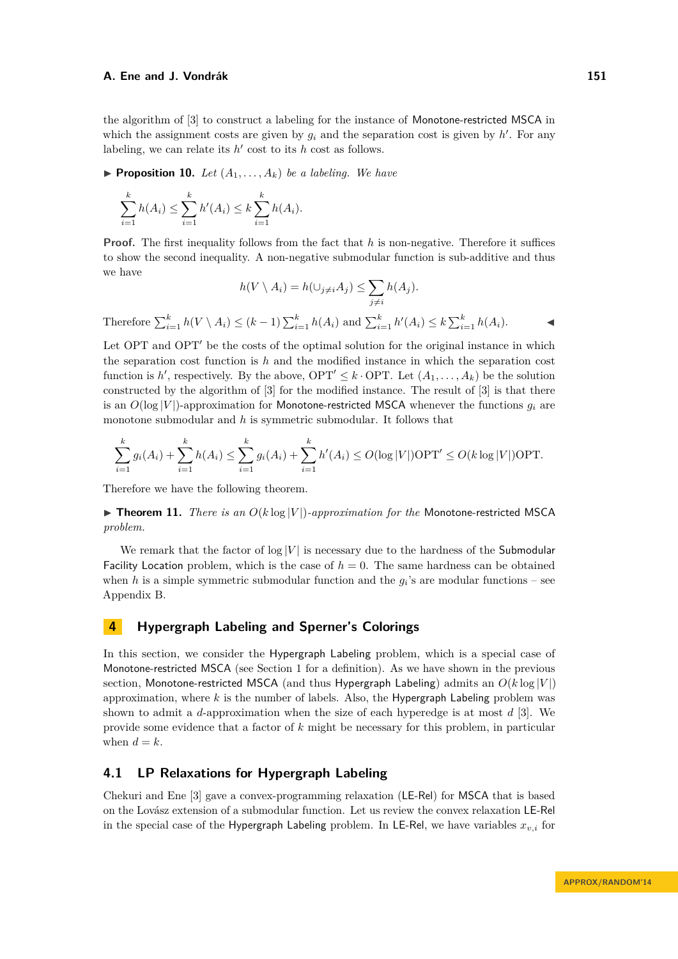the algorithm of [\[3\]](#page-12-0) to construct a labeling for the instance of Monotone-restricted MSCA in which the assignment costs are given by  $g_i$  and the separation cost is given by  $h'$ . For any labeling, we can relate its  $h'$  cost to its  $h$  cost as follows.

**Proposition 10.** Let  $(A_1, \ldots, A_k)$  be a labeling. We have

$$
\sum_{i=1}^{k} h(A_i) \le \sum_{i=1}^{k} h'(A_i) \le k \sum_{i=1}^{k} h(A_i).
$$

**Proof.** The first inequality follows from the fact that h is non-negative. Therefore it suffices to show the second inequality. A non-negative submodular function is sub-additive and thus we have

$$
h(V \setminus A_i) = h(\cup_{j \neq i} A_j) \le \sum_{j \neq i} h(A_j).
$$
  
Therefore  $\sum_{i=1}^k h(V \setminus A_i) \le (k-1) \sum_{i=1}^k h(A_i)$  and  $\sum_{i=1}^k h'(A_i) \le k \sum_{i=1}^k h(A_i)$ .

Let  $OPT$  and  $OPT'$  be the costs of the optimal solution for the original instance in which the separation cost function is *h* and the modified instance in which the separation cost function is *h*', respectively. By the above,  $\text{OPT}' \leq k \cdot \text{OPT}$ . Let  $(A_1, \ldots, A_k)$  be the solution constructed by the algorithm of [\[3\]](#page-12-0) for the modified instance. The result of [\[3\]](#page-12-0) is that there is an  $O(\log |V|)$ -approximation for Monotone-restricted MSCA whenever the functions  $g_i$  are monotone submodular and *h* is symmetric submodular. It follows that

$$
\sum_{i=1}^{k} g_i(A_i) + \sum_{i=1}^{k} h(A_i) \le \sum_{i=1}^{k} g_i(A_i) + \sum_{i=1}^{k} h'(A_i) \le O(\log |V|) \text{OPT}' \le O(k \log |V|) \text{OPT}.
$$

Therefore we have the following theorem.

<span id="page-7-1"></span> $\triangleright$  **Theorem 11.** *There is an*  $O(k \log |V|)$ *-approximation for the Monotone-restricted MSCA problem.*

We remark that the factor of  $log |V|$  is necessary due to the hardness of the Submodular Facility Location problem, which is the case of  $h = 0$ . The same hardness can be obtained when *h* is a simple symmetric submodular function and the  $g_i$ 's are modular functions – see Appendix [B.](#page-14-1)

## <span id="page-7-0"></span>**4 Hypergraph Labeling and Sperner's Colorings**

In this section, we consider the Hypergraph Labeling problem, which is a special case of Monotone-restricted MSCA (see Section [1](#page-0-1) for a definition). As we have shown in the previous section, Monotone-restricted MSCA (and thus Hypergraph Labeling) admits an *O*(*k* log |*V* |) approximation, where *k* is the number of labels. Also, the Hypergraph Labeling problem was shown to admit a *d*-approximation when the size of each hyperedge is at most *d* [\[3\]](#page-12-0). We provide some evidence that a factor of *k* might be necessary for this problem, in particular when  $d = k$ .

## **4.1 LP Relaxations for Hypergraph Labeling**

Chekuri and Ene [\[3\]](#page-12-0) gave a convex-programming relaxation (LE-Rel) for MSCA that is based on the Lovász extension of a submodular function. Let us review the convex relaxation LE-Rel in the special case of the Hypergraph Labeling problem. In LE-Rel, we have variables  $x_{v,i}$  for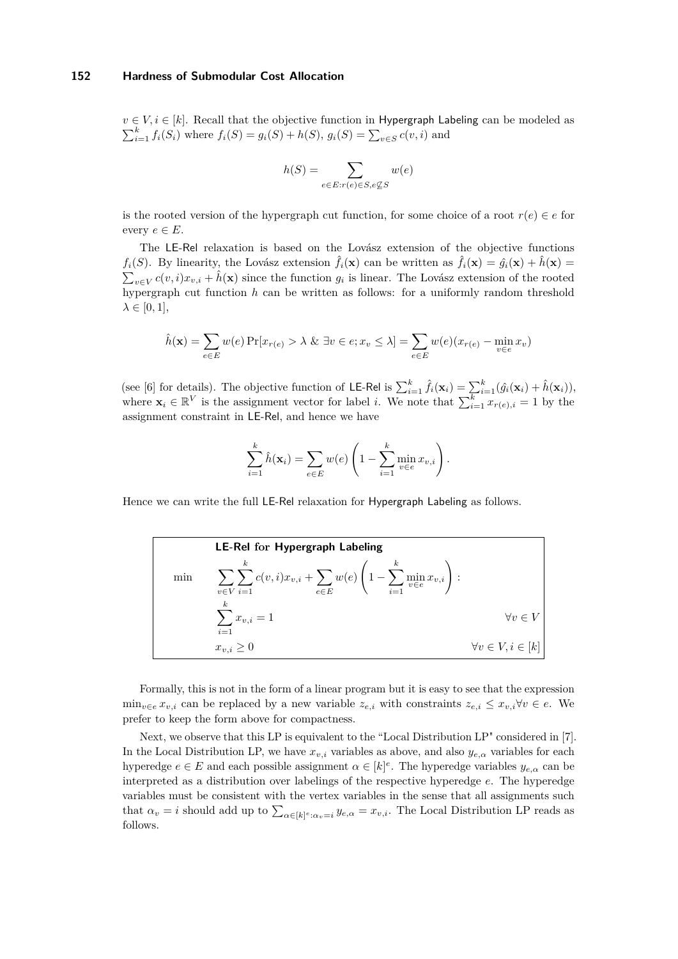$v \in V, i \in [k]$ . Recall that the objective function in Hypergraph Labeling can be modeled as  $\sum_{i=1}^{k} f_i(S_i)$  where  $f_i(S) = g_i(S) + h(S), g_i(S) = \sum_{v \in S} c(v, i)$  and

$$
h(S) = \sum_{e \in E: r(e) \in S, e \not\subseteq S} w(e)
$$

is the rooted version of the hypergraph cut function, for some choice of a root  $r(e) \in e$  for every  $e \in E$ .

The LE-Rel relaxation is based on the Lovász extension of the objective functions  $f_i(S)$ . By linearity, the Lovász extension  $\hat{f}_i(\mathbf{x})$  can be written as  $\hat{f}_i(\mathbf{x}) = \hat{g}_i(\mathbf{x}) + \hat{h}(\mathbf{x}) =$  $\sum_{v \in V} c(v, i)x_{v,i} + \hat{h}(\mathbf{x})$  since the function  $g_i$  is linear. The Lovász extension of the rooted hypergraph cut function *h* can be written as follows: for a uniformly random threshold  $\lambda \in [0, 1],$ 

$$
\hat{h}(\mathbf{x}) = \sum_{e \in E} w(e) \Pr[x_{r(e)} > \lambda \& \exists v \in e; x_v \le \lambda] = \sum_{e \in E} w(e)(x_{r(e)} - \min_{v \in e} x_v)
$$

(see [\[6\]](#page-12-13) for details). The objective function of LE-Rel is  $\sum_{i=1}^{k} \hat{f}_i(\mathbf{x}_i) = \sum_{i=1}^{k} (\hat{g}_i(\mathbf{x}_i) + \hat{h}(\mathbf{x}_i)),$ where  $\mathbf{x}_i \in \mathbb{R}^V$  is the assignment vector for label *i*. We note that  $\sum_{i=1}^k x_{r(e),i} = 1$  by the assignment constraint in LE-Rel, and hence we have

$$
\sum_{i=1}^{k} \hat{h}(\mathbf{x}_{i}) = \sum_{e \in E} w(e) \left( 1 - \sum_{i=1}^{k} \min_{v \in e} x_{v,i} \right).
$$

Hence we can write the full LE-Rel relaxation for Hypergraph Labeling as follows.

|     | <b>LE-Rel for Hypergraph Labeling</b>                                                                                    |                              |
|-----|--------------------------------------------------------------------------------------------------------------------------|------------------------------|
| min | $\sum_{v \in V} \sum_{i=1}^k c(v,i) x_{v,i} + \sum_{e \in E} w(e) \left(1 - \sum_{i=1}^k \min_{v \in e} x_{v,i}\right):$ |                              |
|     | k.<br>$\sum x_{v,i}=1$<br>$i=1$                                                                                          | $\forall v \in V$            |
|     | $x_{v,i} \geq 0$                                                                                                         | $\forall v \in V, i \in [k]$ |

Formally, this is not in the form of a linear program but it is easy to see that the expression min<sub>*v*∈*e*  $x_{v,i}$  can be replaced by a new variable  $z_{e,i}$  with constraints  $z_{e,i}$  ≤  $x_{v,i}$ ∀ $v \in e$ . We</sub> prefer to keep the form above for compactness.

Next, we observe that this LP is equivalent to the "Local Distribution LP" considered in [\[7\]](#page-12-5). In the Local Distribution LP, we have  $x_{v,i}$  variables as above, and also  $y_{e,\alpha}$  variables for each hyperedge  $e \in E$  and each possible assignment  $\alpha \in [k]^e$ . The hyperedge variables  $y_{e,\alpha}$  can be interpreted as a distribution over labelings of the respective hyperedge *e*. The hyperedge variables must be consistent with the vertex variables in the sense that all assignments such that  $\alpha_v = i$  should add up to  $\sum_{\alpha \in [k]^e} a_{v,i} = x_{v,i}$ . The Local Distribution LP reads as follows.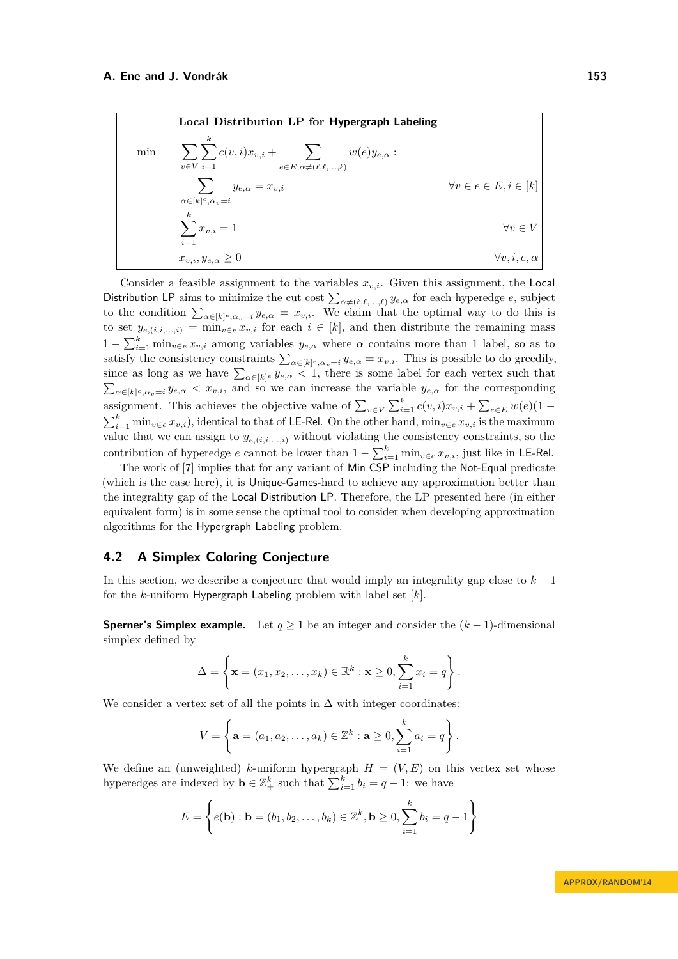| Local Distribution LP for Hypergraph Labeling                                                                                                |                                                                          |                                          |
|----------------------------------------------------------------------------------------------------------------------------------------------|--------------------------------------------------------------------------|------------------------------------------|
| \n $\min \quad \sum_{v \in V} \sum_{i=1}^{k} c(v, i) x_{v,i} + \sum_{e \in E, \alpha \neq (\ell, \ell, \ldots, \ell)} w(e) y_{e,\alpha}:$ \n | \n $\sum_{\alpha \in [k]^{e}, \alpha_{v} = i} y_{e,\alpha} = x_{v,i}$ \n | \n $\forall v \in e \in E, i \in [k]$ \n |
| \n $\sum_{i=1}^{k} x_{v,i} = 1$ \n                                                                                                           | \n $\forall v \in V$ \n                                                  |                                          |
| \n $x_{v,i}, y_{e,\alpha} \geq 0$ \n                                                                                                         | \n $\forall v, i, e, \alpha$ \n                                          |                                          |

Consider a feasible assignment to the variables  $x_{v,i}$ . Given this assignment, the Local Distribution LP aims to minimize the cut cost  $\sum_{\alpha\neq(\ell,\ell,...,\ell)} y_{e,\alpha}$  for each hyperedge *e*, subject to the condition  $\sum_{\alpha \in [k]^e; \alpha_v = i} y_{e,\alpha} = x_{v,i}$ . We claim that the optimal way to do this is to set  $y_{e,(i,i,...,i)} = \min_{v \in e} x_{v,i}$  for each  $i \in [k]$ , and then distribute the remaining mass  $1 - \sum_{i=1}^{k} \min_{v \in e} x_{v,i}$  among variables  $y_{e,\alpha}$  where  $\alpha$  contains more than 1 label, so as to satisfy the consistency constraints  $\sum_{\alpha \in [k]^e, \alpha_v = i} y_{e,\alpha} = x_{v,i}$ . This is possible to do greedily, since as long as we have  $\sum_{\alpha \in [k]^e} y_{e,\alpha} < 1$ , there is some label for each vertex such that  $\sum_{\alpha \in [k]^e, \alpha_v = i} y_{e,\alpha} < x_{v,i}$ , and so we can increase the variable  $y_{e,\alpha}$  for the corresponding assignment. This achieves the objective value of  $\sum_{v \in V} \sum_{i=1}^{k} c(v, i)x_{v,i} + \sum_{e \in E} w(e)(1 - e)$  $\sum_{i=1}^{k} \min_{v \in e} x_{v,i}$ , identical to that of LE-Rel. On the other hand,  $\min_{v \in e} x_{v,i}$  is the maximum value that we can assign to  $y_{e,(i,i,...,i)}$  without violating the consistency constraints, so the contribution of hyperedge *e* cannot be lower than  $1 - \sum_{i=1}^{k} \min_{v \in e} x_{v,i}$ , just like in LE-Rel.

The work of [\[7\]](#page-12-5) implies that for any variant of Min CSP including the Not-Equal predicate (which is the case here), it is Unique-Games-hard to achieve any approximation better than the integrality gap of the Local Distribution LP. Therefore, the LP presented here (in either equivalent form) is in some sense the optimal tool to consider when developing approximation algorithms for the Hypergraph Labeling problem.

## **4.2 A Simplex Coloring Conjecture**

In this section, we describe a conjecture that would imply an integrality gap close to  $k-1$ for the *k*-uniform Hypergraph Labeling problem with label set [*k*].

**Sperner's Simplex example.** Let  $q \ge 1$  be an integer and consider the  $(k-1)$ -dimensional simplex defined by

$$
\Delta = \left\{ \mathbf{x} = (x_1, x_2, \dots, x_k) \in \mathbb{R}^k : \mathbf{x} \ge 0, \sum_{i=1}^k x_i = q \right\}.
$$

We consider a vertex set of all the points in  $\Delta$  with integer coordinates:

$$
V = \left\{ \mathbf{a} = (a_1, a_2, \dots, a_k) \in \mathbb{Z}^k : \mathbf{a} \ge 0, \sum_{i=1}^k a_i = q \right\}.
$$

We define an (unweighted) *k*-uniform hypergraph  $H = (V, E)$  on this vertex set whose hyperedges are indexed by  $\mathbf{b} \in \mathbb{Z}_+^k$  such that  $\sum_{i=1}^k b_i = q - 1$ : we have

$$
E = \left\{ e(\mathbf{b}) : \mathbf{b} = (b_1, b_2, \dots, b_k) \in \mathbb{Z}^k, \mathbf{b} \ge 0, \sum_{i=1}^k b_i = q - 1 \right\}
$$

**APPROX/RANDOM'14**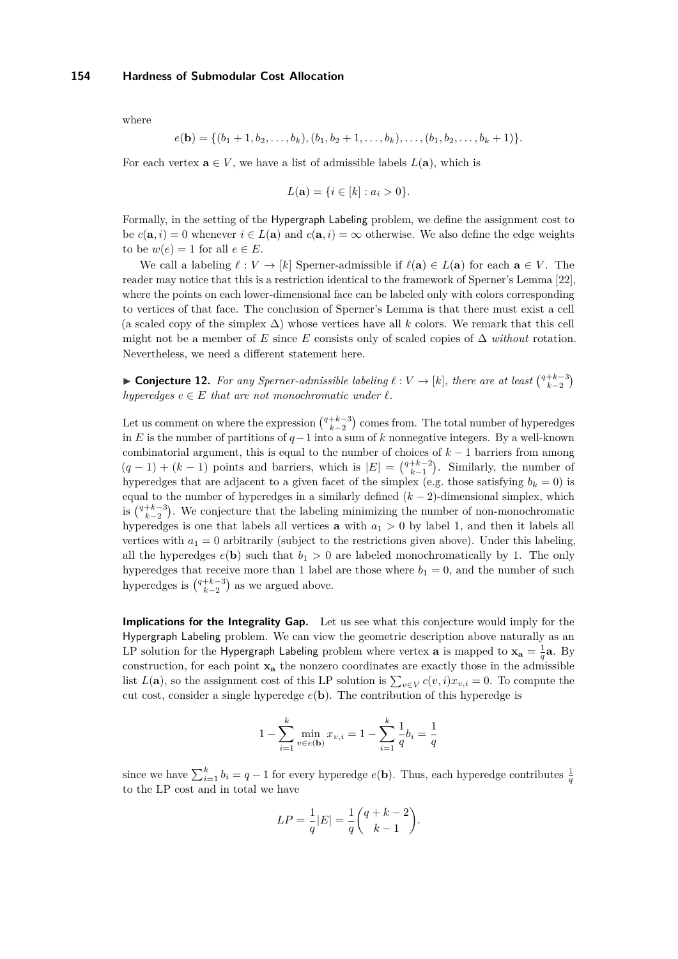#### **154 Hardness of Submodular Cost Allocation**

where

$$
e(\mathbf{b}) = \{ (b_1 + 1, b_2, \ldots, b_k), (b_1, b_2 + 1, \ldots, b_k), \ldots, (b_1, b_2, \ldots, b_k + 1) \}.
$$

For each vertex  $\mathbf{a} \in V$ , we have a list of admissible labels  $L(\mathbf{a})$ , which is

$$
L(\mathbf{a}) = \{ i \in [k] : a_i > 0 \}.
$$

Formally, in the setting of the Hypergraph Labeling problem, we define the assignment cost to be  $c(\mathbf{a}, i) = 0$  whenever  $i \in L(\mathbf{a})$  and  $c(\mathbf{a}, i) = \infty$  otherwise. We also define the edge weights to be  $w(e) = 1$  for all  $e \in E$ .

We call a labeling  $\ell : V \to [k]$  Sperner-admissible if  $\ell(\mathbf{a}) \in L(\mathbf{a})$  for each  $\mathbf{a} \in V$ . The reader may notice that this is a restriction identical to the framework of Sperner's Lemma [\[22\]](#page-13-6), where the points on each lower-dimensional face can be labeled only with colors corresponding to vertices of that face. The conclusion of Sperner's Lemma is that there must exist a cell (a scaled copy of the simplex  $\Delta$ ) whose vertices have all *k* colors. We remark that this cell might not be a member of *E* since *E* consists only of scaled copies of  $\Delta$  *without* rotation. Nevertheless, we need a different statement here.

<span id="page-10-0"></span>► **Conjecture 12.** For any Sperner-admissible labeling  $\ell : V \to [k]$ , there are at least  $\binom{q+k-3}{k-2}$ *hyperedges*  $e \in E$  *that are not monochromatic under*  $\ell$ *.* 

Let us comment on where the expression  $\binom{q+k-3}{k-2}$  comes from. The total number of hyperedges in *E* is the number of partitions of *q*−1 into a sum of *k* nonnegative integers. By a well-known combinatorial argument, this is equal to the number of choices of *k* − 1 barriers from among  $(q-1) + (k-1)$  points and barriers, which is  $|E| = \binom{q+k-2}{k-1}$ . Similarly, the number of hyperedges that are adjacent to a given facet of the simplex (e.g. those satisfying  $b_k = 0$ ) is equal to the number of hyperedges in a similarly defined  $(k-2)$ -dimensional simplex, which is  $\binom{q+k-3}{k-2}$ . We conjecture that the labeling minimizing the number of non-monochromatic hyperedges is one that labels all vertices **a** with  $a_1 > 0$  by label 1, and then it labels all vertices with  $a_1 = 0$  arbitrarily (subject to the restrictions given above). Under this labeling, all the hyperedges  $e(\mathbf{b})$  such that  $b_1 > 0$  are labeled monochromatically by 1. The only hyperedges that receive more than 1 label are those where  $b_1 = 0$ , and the number of such hyperedges is  $\binom{q+k-3}{k-2}$  as we argued above.

**Implications for the Integrality Gap.** Let us see what this conjecture would imply for the Hypergraph Labeling problem. We can view the geometric description above naturally as an LP solution for the Hypergraph Labeling problem where vertex  $\bf{a}$  is mapped to  $\bf{x}_a = \frac{1}{q}\bf{a}$ . By construction, for each point **x<sup>a</sup>** the nonzero coordinates are exactly those in the admissible list  $L(\mathbf{a})$ , so the assignment cost of this LP solution is  $\sum_{v \in V} c(v, i)x_{v,i} = 0$ . To compute the cut cost, consider a single hyperedge *e*(**b**). The contribution of this hyperedge is

$$
1 - \sum_{i=1}^{k} \min_{v \in e(\mathbf{b})} x_{v,i} = 1 - \sum_{i=1}^{k} \frac{1}{q} b_i = \frac{1}{q}
$$

since we have  $\sum_{i=1}^{k} b_i = q - 1$  for every hyperedge  $e(\mathbf{b})$ . Thus, each hyperedge contributes  $\frac{1}{q}$ to the LP cost and in total we have

$$
LP = \frac{1}{q}|E| = \frac{1}{q} \binom{q+k-2}{k-1}.
$$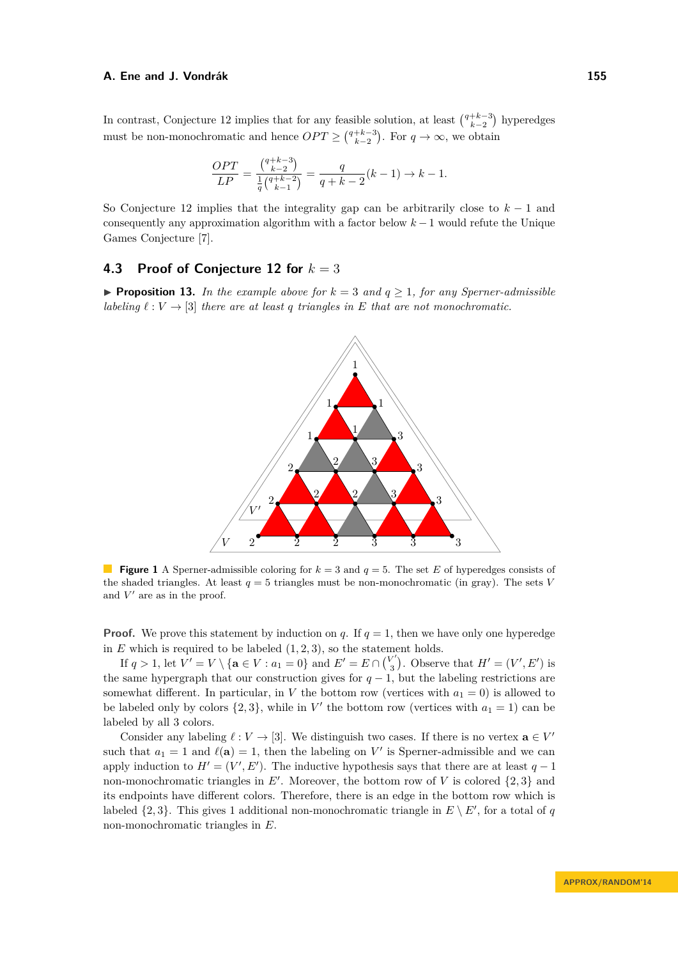In contrast, Conjecture [12](#page-10-0) implies that for any feasible solution, at least  $\binom{q+k-3}{k-2}$  hyperedges must be non-monochromatic and hence  $OPT \geq {q+k-3 \choose k-2}$ . For  $q \to \infty$ , we obtain

$$
\frac{OPT}{LP} = \frac{\binom{q+k-3}{k-2}}{\frac{1}{q}\binom{q+k-2}{k-1}} = \frac{q}{q+k-2}(k-1) \to k-1.
$$

So Conjecture [12](#page-10-0) implies that the integrality gap can be arbitrarily close to *k* − 1 and consequently any approximation algorithm with a factor below *k* − 1 would refute the Unique Games Conjecture [\[7\]](#page-12-5).

## **4.3 Proof of Conjecture [12](#page-10-0) for** *k* = 3

▶ **Proposition 13.** *In the example above for*  $k = 3$  *and*  $q ≥ 1$ *, for any Sperner-admissible labeling*  $\ell : V \to [3]$  *there are at least a triangles in E that are not monochromatic.* 



**Figure 1** A Sperner-admissible coloring for  $k = 3$  and  $q = 5$ . The set *E* of hyperedges consists of the shaded triangles. At least  $q = 5$  triangles must be non-monochromatic (in gray). The sets *V* and  $V'$  are as in the proof.

**Proof.** We prove this statement by induction on *q*. If  $q = 1$ , then we have only one hyperedge in  $E$  which is required to be labeled  $(1, 2, 3)$ , so the statement holds.

If  $q > 1$ , let  $V' = V \setminus {\bf{a}} \in V : a_1 = 0$  and  $E' = E \cap {V' \choose 3}$  $\binom{V'}{3}$ . Observe that  $H' = (V', E')$  is the same hypergraph that our construction gives for  $q-1$ , but the labeling restrictions are somewhat different. In particular, in *V* the bottom row (vertices with  $a_1 = 0$ ) is allowed to be labeled only by colors  $\{2,3\}$ , while in  $V'$  the bottom row (vertices with  $a_1 = 1$ ) can be labeled by all 3 colors.

Consider any labeling  $\ell : V \to [3]$ . We distinguish two cases. If there is no vertex  $\mathbf{a} \in V'$ such that  $a_1 = 1$  and  $\ell(\mathbf{a}) = 1$ , then the labeling on V' is Sperner-admissible and we can apply induction to  $H' = (V', E')$ . The inductive hypothesis says that there are at least  $q - 1$ non-monochromatic triangles in  $E'$ . Moreover, the bottom row of V is colored  $\{2,3\}$  and its endpoints have different colors. Therefore, there is an edge in the bottom row which is labeled  $\{2,3\}$ . This gives 1 additional non-monochromatic triangle in  $E \setminus E'$ , for a total of *q* non-monochromatic triangles in *E*.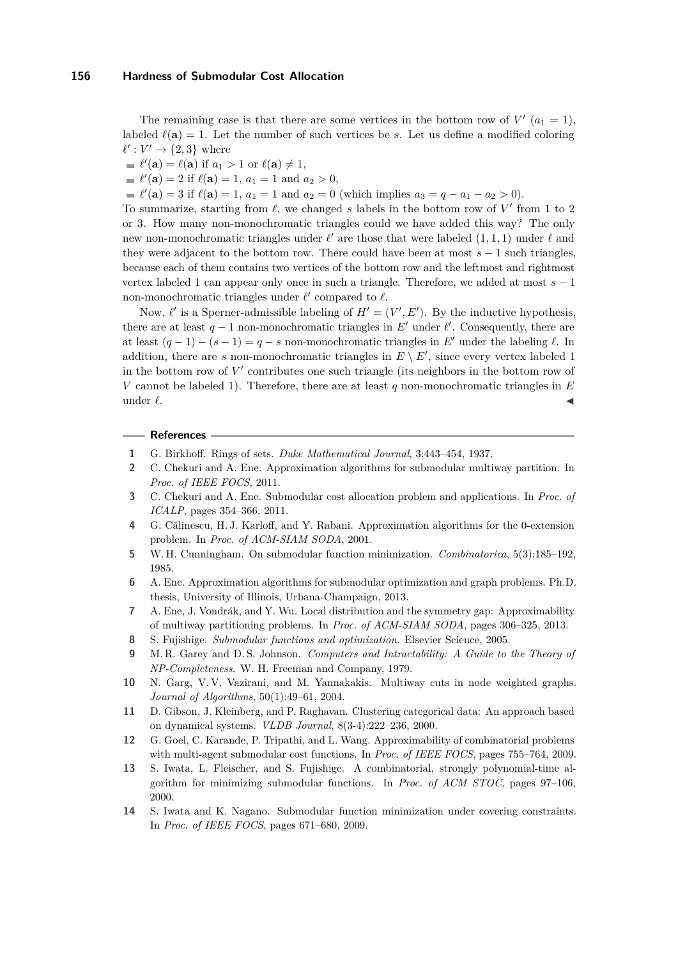#### **156 Hardness of Submodular Cost Allocation**

The remaining case is that there are some vertices in the bottom row of  $V'(a_1 = 1)$ , labeled  $\ell(\mathbf{a}) = 1$ . Let the number of such vertices be *s*. Let us define a modified coloring  $\ell' : V' \to \{2, 3\}$  where

 $\ell'(\mathbf{a}) = \ell(\mathbf{a})$  if  $a_1 > 1$  or  $\ell(\mathbf{a}) \neq 1$ ,

 $\ell'(\mathbf{a}) = 2$  if  $\ell(\mathbf{a}) = 1$ ,  $a_1 = 1$  and  $a_2 > 0$ ,

 $\ell'(\mathbf{a}) = 3$  if  $\ell(\mathbf{a}) = 1$ ,  $a_1 = 1$  and  $a_2 = 0$  (which implies  $a_3 = q - a_1 - a_2 > 0$ ).

To summarize, starting from  $\ell$ , we changed *s* labels in the bottom row of  $V'$  from 1 to 2 or 3. How many non-monochromatic triangles could we have added this way? The only new non-monochromatic triangles under  $\ell'$  are those that were labeled  $(1, 1, 1)$  under  $\ell$  and they were adjacent to the bottom row. There could have been at most *s* − 1 such triangles, because each of them contains two vertices of the bottom row and the leftmost and rightmost vertex labeled 1 can appear only once in such a triangle. Therefore, we added at most *s* − 1 non-monochromatic triangles under  $\ell'$  compared to  $\ell$ .

Now,  $\ell'$  is a Sperner-admissible labeling of  $H' = (V', E')$ . By the inductive hypothesis, there are at least  $q - 1$  non-monochromatic triangles in  $E'$  under  $\ell'$ . Consequently, there are at least  $(q-1) - (s-1) = q - s$  non-monochromatic triangles in E' under the labeling  $\ell$ . In addition, there are *s* non-monochromatic triangles in  $E \setminus E'$ , since every vertex labeled 1 in the bottom row of  $V'$  contributes one such triangle (its neighbors in the bottom row of *V* cannot be labeled 1). Therefore, there are at least *q* non-monochromatic triangles in *E* under  $\ell$ .

#### **References**

- <span id="page-12-10"></span>**1** G. Birkhoff. Rings of sets. *Duke Mathematical Journal*, 3:443–454, 1937.
- <span id="page-12-4"></span>**2** C. Chekuri and A. Ene. Approximation algorithms for submodular multiway partition. In *Proc. of IEEE FOCS*, 2011.
- <span id="page-12-0"></span>**3** C. Chekuri and A. Ene. Submodular cost allocation problem and applications. In *Proc. of ICALP*, pages 354–366, 2011.
- <span id="page-12-2"></span>**4** G. Călinescu, H. J. Karloff, and Y. Rabani. Approximation algorithms for the 0-extension problem. In *Proc. of ACM-SIAM SODA*, 2001.
- <span id="page-12-8"></span>**5** W. H. Cunningham. On submodular function minimization. *Combinatorica*, 5(3):185–192, 1985.
- <span id="page-12-13"></span>**6** A. Ene. Approximation algorithms for submodular optimization and graph problems. Ph.D. thesis, University of Illinois, Urbana-Champaign, 2013.
- <span id="page-12-5"></span>**7** A. Ene, J. Vondrák, and Y. Wu. Local distribution and the symmetry gap: Approximability of multiway partitioning problems. In *Proc. of ACM-SIAM SODA*, pages 306–325, 2013.
- <span id="page-12-11"></span>**8** S. Fujishige. *Submodular functions and optimization*. Elsevier Science, 2005.
- <span id="page-12-12"></span>**9** M. R. Garey and D. S. Johnson. *Computers and Intractability: A Guide to the Theory of NP-Completeness*. W. H. Freeman and Company, 1979.
- <span id="page-12-3"></span>**10** N. Garg, V. V. Vazirani, and M. Yannakakis. Multiway cuts in node weighted graphs. *Journal of Algorithms*, 50(1):49–61, 2004.
- <span id="page-12-1"></span>**11** D. Gibson, J. Kleinberg, and P. Raghavan. Clustering categorical data: An approach based on dynamical systems. *VLDB Journal*, 8(3-4):222–236, 2000.
- <span id="page-12-7"></span>**12** G. Goel, C. Karande, P. Tripathi, and L. Wang. Approximability of combinatorial problems with multi-agent submodular cost functions. In *Proc. of IEEE FOCS*, pages 755–764, 2009.
- <span id="page-12-9"></span>**13** S. Iwata, L. Fleischer, and S. Fujishige. A combinatorial, strongly polynomial-time algorithm for minimizing submodular functions. In *Proc. of ACM STOC*, pages 97–106, 2000.
- <span id="page-12-6"></span>**14** S. Iwata and K. Nagano. Submodular function minimization under covering constraints. In *Proc. of IEEE FOCS*, pages 671–680, 2009.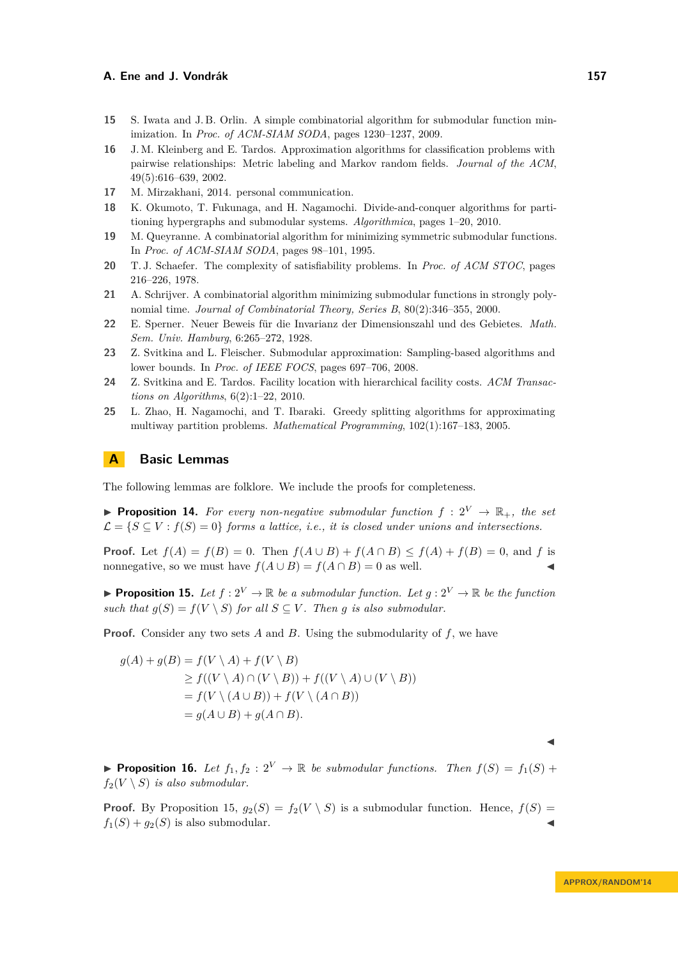- <span id="page-13-10"></span>**15** S. Iwata and J. B. Orlin. A simple combinatorial algorithm for submodular function minimization. In *Proc. of ACM-SIAM SODA*, pages 1230–1237, 2009.
- <span id="page-13-0"></span>**16** J. M. Kleinberg and E. Tardos. Approximation algorithms for classification problems with pairwise relationships: Metric labeling and Markov random fields. *Journal of the ACM*, 49(5):616–639, 2002.
- <span id="page-13-1"></span>**17** M. Mirzakhani, 2014. personal communication.
- <span id="page-13-5"></span>**18** K. Okumoto, T. Fukunaga, and H. Nagamochi. Divide-and-conquer algorithms for partitioning hypergraphs and submodular systems. *Algorithmica*, pages 1–20, 2010.
- <span id="page-13-8"></span>**19** M. Queyranne. A combinatorial algorithm for minimizing symmetric submodular functions. In *Proc. of ACM-SIAM SODA*, pages 98–101, 1995.
- <span id="page-13-12"></span>**20** T. J. Schaefer. The complexity of satisfiability problems. In *Proc. of ACM STOC*, pages 216–226, 1978.
- <span id="page-13-9"></span>**21** A. Schrijver. A combinatorial algorithm minimizing submodular functions in strongly polynomial time. *Journal of Combinatorial Theory, Series B*, 80(2):346–355, 2000.
- <span id="page-13-6"></span>**22** E. Sperner. Neuer Beweis für die Invarianz der Dimensionszahl und des Gebietes. *Math. Sem. Univ. Hamburg*, 6:265–272, 1928.
- <span id="page-13-4"></span>**23** Z. Svitkina and L. Fleischer. Submodular approximation: Sampling-based algorithms and lower bounds. In *Proc. of IEEE FOCS*, pages 697–706, 2008.
- <span id="page-13-2"></span>**24** Z. Svitkina and E. Tardos. Facility location with hierarchical facility costs. *ACM Transactions on Algorithms*, 6(2):1–22, 2010.
- <span id="page-13-3"></span>**25** L. Zhao, H. Nagamochi, and T. Ibaraki. Greedy splitting algorithms for approximating multiway partition problems. *Mathematical Programming*, 102(1):167–183, 2005.

## **A Basic Lemmas**

The following lemmas are folklore. We include the proofs for completeness.

<span id="page-13-11"></span>**Proposition 14.** For every non-negative submodular function  $f: 2^V \rightarrow \mathbb{R}_+$ , the set  $\mathcal{L} = \{S \subseteq V : f(S) = 0\}$  *forms a lattice, i.e., it is closed under unions and intersections.* 

**Proof.** Let  $f(A) = f(B) = 0$ . Then  $f(A \cup B) + f(A \cap B) \le f(A) + f(B) = 0$ , and *f* is nonnegative, so we must have  $f(A \cup B) = f(A \cap B) = 0$  as well.

<span id="page-13-13"></span>**Proposition 15.** Let  $f: 2^V \to \mathbb{R}$  be a submodular function. Let  $g: 2^V \to \mathbb{R}$  be the function *such that*  $g(S) = f(V \setminus S)$  *for all*  $S \subseteq V$ *. Then g is also submodular.* 

**Proof.** Consider any two sets *A* and *B*. Using the submodularity of *f*, we have

$$
g(A) + g(B) = f(V \setminus A) + f(V \setminus B)
$$
  
\n
$$
\geq f((V \setminus A) \cap (V \setminus B)) + f((V \setminus A) \cup (V \setminus B))
$$
  
\n
$$
= f(V \setminus (A \cup B)) + f(V \setminus (A \cap B))
$$
  
\n
$$
= g(A \cup B) + g(A \cap B).
$$

 $\blacktriangleleft$ 

<span id="page-13-7"></span>**Proposition 16.** Let  $f_1, f_2 : 2^V \to \mathbb{R}$  be submodular functions. Then  $f(S) = f_1(S) +$  $f_2(V \setminus S)$  *is also submodular.* 

**Proof.** By Proposition [15,](#page-13-13)  $g_2(S) = f_2(V \setminus S)$  is a submodular function. Hence,  $f(S) =$  $f_1(S) + g_2(S)$  is also submodular.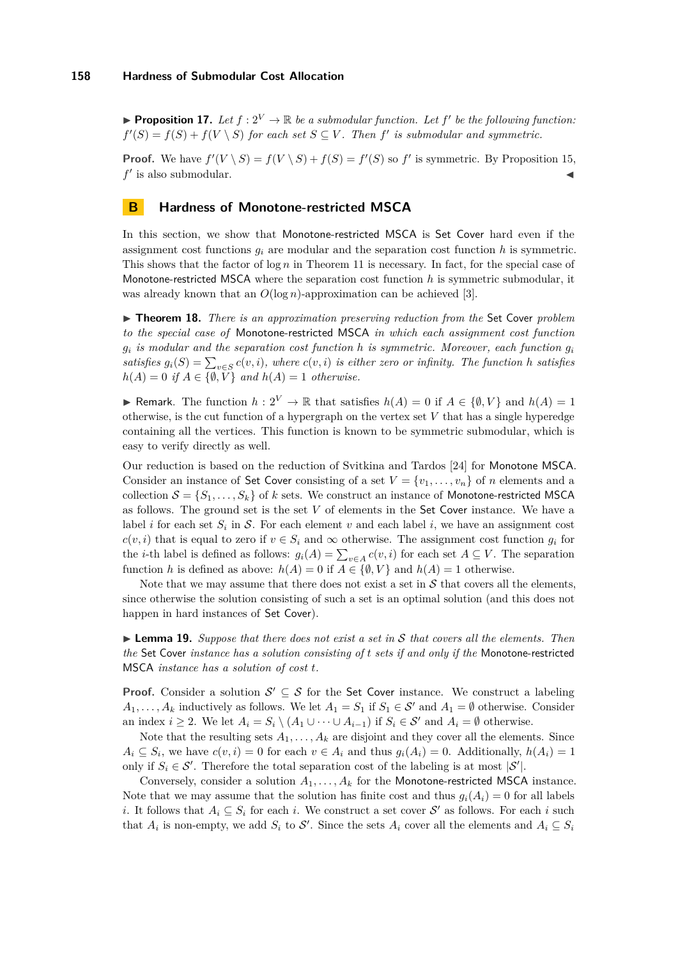<span id="page-14-0"></span>**• Proposition 17.** Let  $f: 2^V \to \mathbb{R}$  be a submodular function. Let  $f'$  be the following function:  $f'(S) = f(S) + f(V \setminus S)$  *for each set*  $S \subseteq V$ . Then  $f'$  *is submodular and symmetric.* 

**Proof.** We have  $f'(V \setminus S) = f(V \setminus S) + f(S) = f'(S)$  so  $f'$  is symmetric. By Proposition [15,](#page-13-13)  $f'$  is also submodular.

## <span id="page-14-1"></span>**B Hardness of Monotone-restricted MSCA**

In this section, we show that Monotone-restricted MSCA is Set Cover hard even if the assignment cost functions  $q_i$  are modular and the separation cost function  $h$  is symmetric. This shows that the factor of log *n* in Theorem [11](#page-7-1) is necessary. In fact, for the special case of Monotone-restricted MSCA where the separation cost function *h* is symmetric submodular, it was already known that an  $O(\log n)$ -approximation can be achieved [\[3\]](#page-12-0).

I **Theorem 18.** *There is an approximation preserving reduction from the* Set Cover *problem to the special case of* Monotone-restricted MSCA *in which each assignment cost function*  $g_i$  *is modular and the separation cost function h is symmetric. Moreover, each function*  $g_i$ *satisfies*  $g_i(S) = \sum_{v \in S} c(v, i)$ *, where*  $c(v, i)$  *is either zero or infinity. The function h satisfies*  $h(A) = 0$  *if*  $A \in \{\emptyset, V\}$  *and*  $h(A) = 1$  *otherwise.* 

► Remark. The function  $h: 2^V \to \mathbb{R}$  that satisfies  $h(A) = 0$  if  $A \in \{0, V\}$  and  $h(A) = 1$ otherwise, is the cut function of a hypergraph on the vertex set *V* that has a single hyperedge containing all the vertices. This function is known to be symmetric submodular, which is easy to verify directly as well.

Our reduction is based on the reduction of Svitkina and Tardos [\[24\]](#page-13-2) for Monotone MSCA. Consider an instance of Set Cover consisting of a set  $V = \{v_1, \ldots, v_n\}$  of *n* elements and a collection  $S = \{S_1, \ldots, S_k\}$  of *k* sets. We construct an instance of Monotone-restricted MSCA as follows. The ground set is the set *V* of elements in the Set Cover instance. We have a label *i* for each set  $S_i$  in  $S$ . For each element  $v$  and each label  $i$ , we have an assignment cost  $c(v, i)$  that is equal to zero if  $v \in S_i$  and  $\infty$  otherwise. The assignment cost function  $g_i$  for the *i*-th label is defined as follows:  $g_i(A) = \sum_{v \in A} c(v, i)$  for each set  $A \subseteq V$ . The separation function *h* is defined as above:  $h(A) = 0$  if  $A \in \{\emptyset, V\}$  and  $h(A) = 1$  otherwise.

Note that we may assume that there does not exist a set in  $S$  that covers all the elements, since otherwise the solution consisting of such a set is an optimal solution (and this does not happen in hard instances of Set Cover).

**Lemma 19.** *Suppose that there does not exist a set in*  $S$  *that covers all the elements. Then the* Set Cover *instance has a solution consisting of t sets if and only if the* Monotone-restricted MSCA *instance has a solution of cost t.*

**Proof.** Consider a solution  $\mathcal{S}' \subseteq \mathcal{S}$  for the Set Cover instance. We construct a labeling *A*<sub>1</sub>*, ...*, *A*<sub>*k*</sub> inductively as follows. We let  $A_1 = S_1$  if  $S_1 \in S'$  and  $A_1 = \emptyset$  otherwise. Consider an index  $i \geq 2$ . We let  $A_i = S_i \setminus (A_1 \cup \cdots \cup A_{i-1})$  if  $S_i \in \mathcal{S}'$  and  $A_i = \emptyset$  otherwise.

Note that the resulting sets  $A_1, \ldots, A_k$  are disjoint and they cover all the elements. Since  $A_i \subseteq S_i$ , we have  $c(v, i) = 0$  for each  $v \in A_i$  and thus  $g_i(A_i) = 0$ . Additionally,  $h(A_i) = 1$ only if  $S_i \in \mathcal{S}'$ . Therefore the total separation cost of the labeling is at most  $|\mathcal{S}'|$ .

Conversely, consider a solution  $A_1, \ldots, A_k$  for the Monotone-restricted MSCA instance. Note that we may assume that the solution has finite cost and thus  $q_i(A_i) = 0$  for all labels *i*. It follows that  $A_i \subseteq S_i$  for each *i*. We construct a set cover S' as follows. For each *i* such that  $A_i$  is non-empty, we add  $S_i$  to  $S'$ . Since the sets  $A_i$  cover all the elements and  $A_i \subseteq S_i$